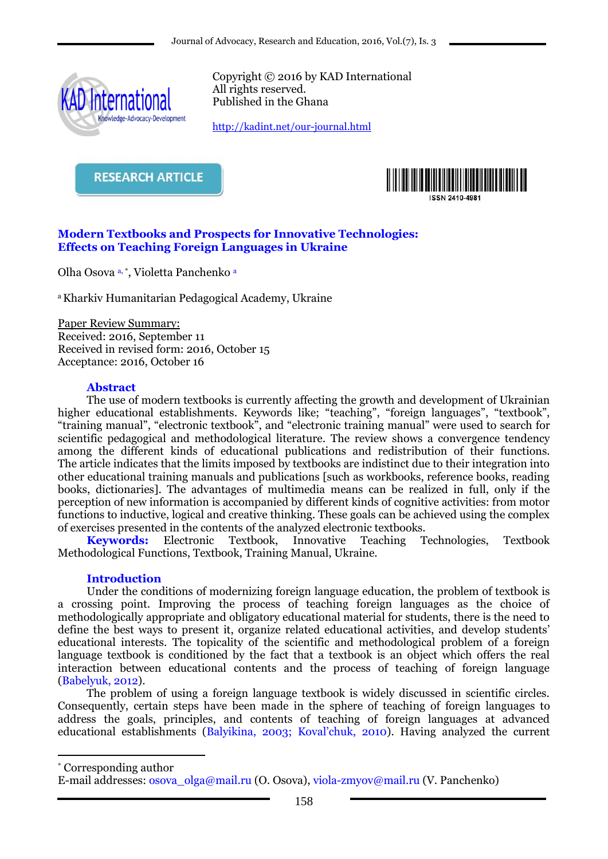

Copyright © 2016 by KAD International All rights reserved. Published in the Ghana

<http://kadint.net/our-journal.html>

**RESEARCH ARTICLE** 



#### **Modern Textbooks and Prospects for Innovative Technologies: Effects on Teaching Foreign Languages in Ukraine**

Olha Osova a, \*, Violetta Panchenko a

<sup>a</sup>Kharkiv Humanitarian Pedagogical Academy, Ukraine

Paper Review Summary: Received: 2016, September 11 Received in revised form: 2016, October 15 Acceptance: 2016, October 16

#### **Abstract**

The use of modern textbooks is currently affecting the growth and development of Ukrainian higher educational establishments. Keywords like; "teaching", "foreign languages", "textbook", "training manual", "electronic textbook", and "electronic training manual" were used to search for scientific pedagogical and methodological literature. The review shows a convergence tendency among the different kinds of educational publications and redistribution of their functions. The article indicates that the limits imposed by textbooks are indistinct due to their integration into other educational training manuals and publications [such as workbooks, reference books, reading books, dictionaries]. The advantages of multimedia means can be realized in full, only if the perception of new information is accompanied by different kinds of cognitive activities: from motor functions to inductive, logical and creative thinking. These goals can be achieved using the complex of exercises presented in the contents of the analyzed electronic textbooks.

**Keywords:** Electronic Textbook, Innovative Teaching Technologies, Textbook Methodological Functions, Textbook, Training Manual, Ukraine.

#### **Introduction**

Under the conditions of modernizing foreign language education, the problem of textbook is a crossing point. Improving the process of teaching foreign languages as the choice of methodologically appropriate and obligatory educational material for students, there is the need to define the best ways to present it, organize related educational activities, and develop students' educational interests. The topicality of the scientific and methodological problem of a foreign language textbook is conditioned by the fact that a textbook is an object which offers the real interaction between educational contents and the process of teaching of foreign language (Babelyuk, 2012).

The problem of using a foreign language textbook is widely discussed in scientific circles. Consequently, certain steps have been made in the sphere of teaching of foreign languages to address the goals, principles, and contents of teaching of foreign languages at advanced educational establishments (Balyikina, 2003; Koval'chuk, 2010). Having analyzed the current

\* Corresponding author

1

E-mail addresses: osova\_olga@mail.ru (O. Osova), viola-zmyov@mail.ru (V. Panchenko)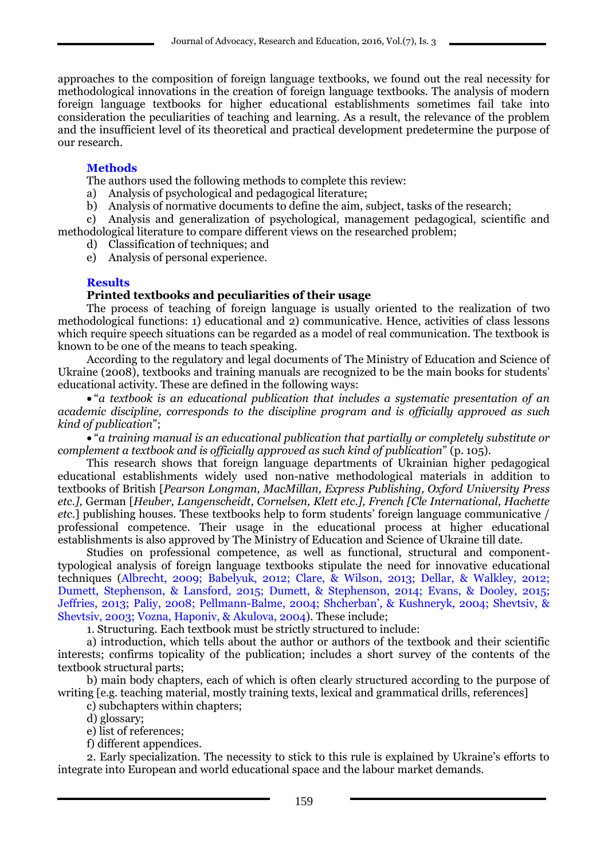approaches to the composition of foreign language textbooks, we found out the real necessity for methodological innovations in the creation of foreign language textbooks. The analysis of modern foreign language textbooks for higher educational establishments sometimes fail take into consideration the peculiarities of teaching and learning. As a result, the relevance of the problem and the insufficient level of its theoretical and practical development predetermine the purpose of our research.

## **Methods**

The authors used the following methods to complete this review:

- a) Analysis of psychological and pedagogical literature;
- b) Analysis of normative documents to define the aim, subject, tasks of the research;

c) Analysis and generalization of psychological, management pedagogical, scientific and methodological literature to compare different views on the researched problem;

- d) Classification of techniques; and
- e) Analysis of personal experience.

# **Results**

### **Printed textbooks and peculiarities of their usage**

The process of teaching of foreign language is usually oriented to the realization of two methodological functions: 1) educational and 2) communicative. Hence, activities of class lessons which require speech situations can be regarded as a model of real communication. The textbook is known to be one of the means to teach speaking.

According to the regulatory and legal documents of The Ministry of Education and Science of Ukraine (2008), textbooks and training manuals are recognized to be the main books for students' educational activity. These are defined in the following ways:

 "*a textbook is an educational publication that includes a systematic presentation of an academic discipline, corresponds to the discipline program and is officially approved as such kind of publication*";

 "*a training manual is an educational publication that partially or completely substitute or complement a textbook and is officially approved as such kind of publication*" (p. 105).

This research shows that foreign language departments of Ukrainian higher pedagogical educational establishments widely used non-native methodological materials in addition to textbooks of British [*Pearson Longman, MacMillan, Express Publishing, Oxford University Press etc.],* German [*Heuber, Langenscheidt, Cornelsen, Klett etc.], French [Cle International, Hachette etc*.] publishing houses. These textbooks help to form students' foreign language communicative / professional competence. Their usage in the educational process at higher educational establishments is also approved by The Ministry of Education and Science of Ukraine till date.

Studies on professional competence, as well as functional, structural and componenttypological analysis of foreign language textbooks stipulate the need for innovative educational techniques (Albrecht, 2009; Babelyuk, 2012; Clare, & Wilson, 2013; Dellar, & Walkley, 2012; Dumett, Stephenson, & Lansford, 2015; Dumett, & Stephenson, 2014; Evans, & Dooley, 2015; Jeffries, 2013; Paliy, 2008; Pellmann-Balme, 2004; Shcherban', & Kushneryk, 2004; Shevtsiv, & Shevtsiv, 2003; Vozna, Haponiv, & Akulova, 2004). These include;

1. Structuring. Each textbook must be strictly structured to include:

a) introduction, which tells about the author or authors of the textbook and their scientific interests; confirms topicality of the publication; includes a short survey of the contents of the textbook structural parts;

b) main body chapters, each of which is often clearly structured according to the purpose of writing [e.g. teaching material, mostly training texts, lexical and grammatical drills, references]

c) subchapters within chapters;

d) glossary;

e) list of references;

f) different appendices.

2. Early specialization. The necessity to stick to this rule is explained by Ukraine's efforts to integrate into European and world educational space and the labour market demands.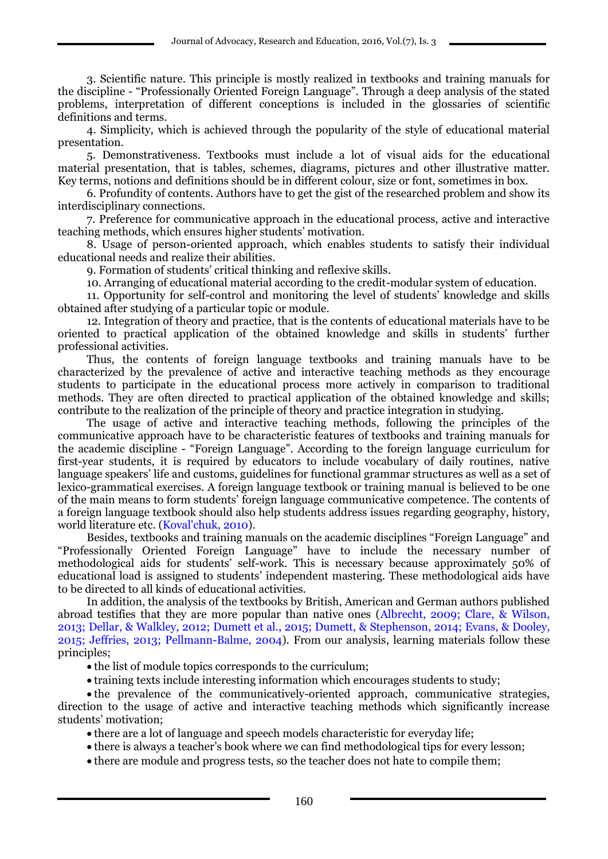3. Scientific nature. This principle is mostly realized in textbooks and training manuals for the discipline - "Professionally Oriented Foreign Language". Through a deep analysis of the stated problems, interpretation of different conceptions is included in the glossaries of scientific definitions and terms.

4. Simplicity, which is achieved through the popularity of the style of educational material presentation.

5. Demonstrativeness. Textbooks must include a lot of visual aids for the educational material presentation, that is tables, schemes, diagrams, pictures and other illustrative matter. Key terms, notions and definitions should be in different colour, size or font, sometimes in box.

6. Profundity of contents. Authors have to get the gist of the researched problem and show its interdisciplinary connections.

7. Preference for communicative approach in the educational process, active and interactive teaching methods, which ensures higher students' motivation.

8. Usage of person-oriented approach, which enables students to satisfy their individual educational needs and realize their abilities.

9. Formation of students' critical thinking and reflexive skills.

10. Arranging of educational material according to the credit-modular system of education.

11. Opportunity for self-control and monitoring the level of students' knowledge and skills obtained after studying of a particular topic or module.

12. Integration of theory and practice, that is the contents of educational materials have to be oriented to practical application of the obtained knowledge and skills in students' further professional activities.

Thus, the contents of foreign language textbooks and training manuals have to be characterized by the prevalence of active and interactive teaching methods as they encourage students to participate in the educational process more actively in comparison to traditional methods. They are often directed to practical application of the obtained knowledge and skills; contribute to the realization of the principle of theory and practice integration in studying.

The usage of active and interactive teaching methods, following the principles of the communicative approach have to be characteristic features of textbooks and training manuals for the academic discipline - "Foreign Language". According to the foreign language curriculum for first-year students, it is required by educators to include vocabulary of daily routines, native language speakers' life and customs, guidelines for functional grammar structures as well as a set of lexico-grammatical exercises. A foreign language textbook or training manual is believed to be one of the main means to form students' foreign language communicative competence. The contents of a foreign language textbook should also help students address issues regarding geography, history, world literature etc. (Koval'chuk, 2010).

Besides, textbooks and training manuals on the academic disciplines "Foreign Language" and "Professionally Oriented Foreign Language" have to include the necessary number of methodological aids for students' self-work. This is necessary because approximately 50% of educational load is assigned to students' independent mastering. These methodological aids have to be directed to all kinds of educational activities.

In addition, the analysis of the textbooks by British, American and German authors published abroad testifies that they are more popular than native ones (Albrecht, 2009; Clare, & Wilson, 2013; Dellar, & Walkley, 2012; Dumett et al., 2015; Dumett, & Stephenson, 2014; Evans, & Dooley, 2015; Jeffries, 2013; Pellmann-Balme, 2004). From our analysis, learning materials follow these principles;

• the list of module topics corresponds to the curriculum:

training texts include interesting information which encourages students to study;

 the prevalence of the communicatively-oriented approach, communicative strategies, direction to the usage of active and interactive teaching methods which significantly increase students' motivation;

• there are a lot of language and speech models characteristic for everyday life;

- there is always a teacher's book where we can find methodological tips for every lesson;
- there are module and progress tests, so the teacher does not hate to compile them;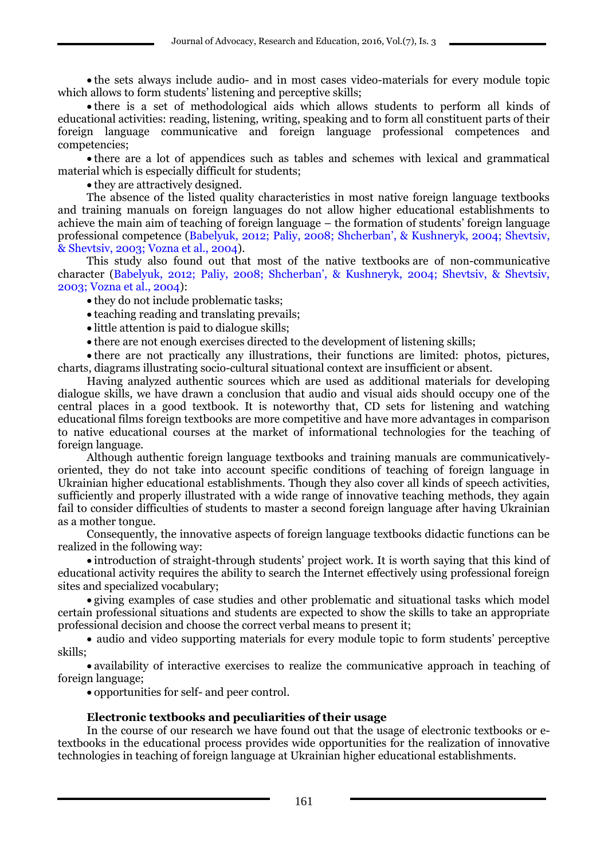the sets always include audio- and in most cases video-materials for every module topic which allows to form students' listening and perceptive skills;

 there is a set of methodological aids which allows students to perform all kinds of educational activities: reading, listening, writing, speaking and to form all constituent parts of their foreign language communicative and foreign language professional competences and competencies;

 there are a lot of appendices such as tables and schemes with lexical and grammatical material which is especially difficult for students;

• they are attractively designed.

The absence of the listed quality characteristics in most native foreign language textbooks and training manuals on foreign languages do not allow higher educational establishments to achieve the main aim of teaching of foreign language – the formation of students' foreign language professional competence (Babelyuk, 2012; Paliy, 2008; Shcherban', & Kushneryk, 2004; Shevtsiv, & Shevtsiv, 2003; Vozna et al., 2004).

This study also found out that most of the native textbooks are of non-communicative character (Babelyuk, 2012; Paliy, 2008; Shcherban', & Kushneryk, 2004; Shevtsiv, & Shevtsiv, 2003; Vozna et al., 2004):

• they do not include problematic tasks;

- teaching reading and translating prevails;
- little attention is paid to dialogue skills;

there are not enough exercises directed to the development of listening skills;

 there are not practically any illustrations, their functions are limited: photos, pictures, charts, diagrams illustrating socio-cultural situational context are insufficient or absent.

Having analyzed authentic sources which are used as additional materials for developing dialogue skills, we have drawn a conclusion that audio and visual aids should occupy one of the central places in a good textbook. It is noteworthy that, CD sets for listening and watching educational films foreign textbooks are more competitive and have more advantages in comparison to native educational courses at the market of informational technologies for the teaching of foreign language.

Although authentic foreign language textbooks and training manuals are communicativelyoriented, they do not take into account specific conditions of teaching of foreign language in Ukrainian higher educational establishments. Though they also cover all kinds of speech activities, sufficiently and properly illustrated with a wide range of innovative teaching methods, they again fail to consider difficulties of students to master a second foreign language after having Ukrainian as a mother tongue.

Consequently, the innovative aspects of foreign language textbooks didactic functions can be realized in the following way:

 introduction of straight-through students' project work. It is worth saying that this kind of educational activity requires the ability to search the Internet effectively using professional foreign sites and specialized vocabulary;

 giving examples of case studies and other problematic and situational tasks which model certain professional situations and students are expected to show the skills to take an appropriate professional decision and choose the correct verbal means to present it;

• audio and video supporting materials for every module topic to form students' perceptive skills;

 availability of interactive exercises to realize the communicative approach in teaching of foreign language;

opportunities for self- and peer control.

#### **Electronic textbooks and peculiarities of their usage**

In the course of our research we have found out that the usage of electronic textbooks or etextbooks in the educational process provides wide opportunities for the realization of innovative technologies in teaching of foreign language at Ukrainian higher educational establishments.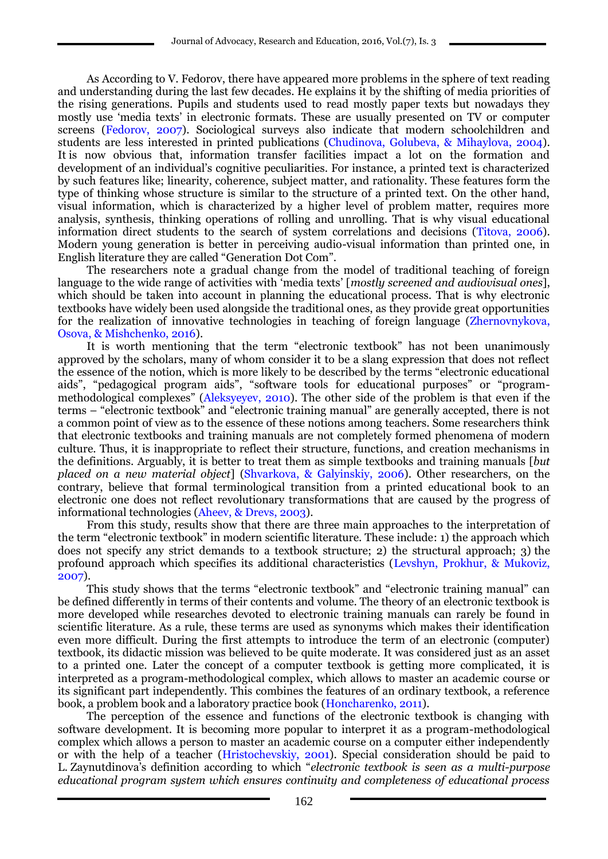As According to V. Fedorov, there have appeared more problems in the sphere of text reading and understanding during the last few decades. He explains it by the shifting of media priorities of the rising generations. Pupils and students used to read mostly paper texts but nowadays they mostly use 'media texts' in electronic formats. These are usually presented on TV or computer screens (Fedorov, 2007). Sociological surveys also indicate that modern schoolchildren and students are less interested in printed publications (Chudinova, Golubeva, & Mihaylova, 2004). It is now obvious that, information transfer facilities impact a lot on the formation and development of an individual's cognitive peculiarities. For instance, a printed text is characterized by such features like; linearity, coherence, subject matter, and rationality. These features form the type of thinking whose structure is similar to the structure of a printed text. On the other hand, visual information, which is characterized by a higher level of problem matter, requires more analysis, synthesis, thinking operations of rolling and unrolling. That is why visual educational information direct students to the search of system correlations and decisions (Titova, 2006). Modern young generation is better in perceiving audio-visual information than printed one, in English literature they are called "Generation Dot Com".

The researchers note a gradual change from the model of traditional teaching of foreign language to the wide range of activities with 'media texts' [*mostly screened and audiovisual ones*], which should be taken into account in planning the educational process. That is why electronic textbooks have widely been used alongside the traditional ones, as they provide great opportunities for the realization of innovative technologies in teaching of foreign language (Zhernovnykova, Osova, & Mishchenko, 2016).

It is worth mentioning that the term "electronic textbook" has not been unanimously approved by the scholars, many of whom consider it to be a slang expression that does not reflect the essence of the notion, which is more likely to be described by the terms "electronic educational aids", "pedagogical program aids", "software tools for educational purposes" or "programmethodological complexes" (Aleksyeyev, 2010). The other side of the problem is that even if the terms – "electronic textbook" and "electronic training manual" are generally accepted, there is not a common point of view as to the essence of these notions among teachers. Some researchers think that electronic textbooks and training manuals are not completely formed phenomena of modern culture. Thus, it is inappropriate to reflect their structure, functions, and creation mechanisms in the definitions. Arguably, it is better to treat them as simple textbooks and training manuals [*but placed on a new material object*] (Shvarkova, & Galyinskiy, 2006). Other researchers, on the contrary, believe that formal terminological transition from a printed educational book to an electronic one does not reflect revolutionary transformations that are caused by the progress of informational technologies (Aheev, & Drevs, 2003).

From this study, results show that there are three main approaches to the interpretation of the term "electronic textbook" in modern scientific literature. These include: 1) the approach which does not specify any strict demands to a textbook structure; 2) the structural approach; 3) the profound approach which specifies its additional characteristics (Levshyn, Prokhur, & Mukoviz, 2007).

This study shows that the terms "electronic textbook" and "electronic training manual" can be defined differently in terms of their contents and volume. The theory of an electronic textbook is more developed while researches devoted to electronic training manuals can rarely be found in scientific literature. As a rule, these terms are used as synonyms which makes their identification even more difficult. During the first attempts to introduce the term of an electronic (computer) textbook, its didactic mission was believed to be quite moderate. It was considered just as an asset to a printed one. Later the concept of a computer textbook is getting more complicated, it is interpreted as a program-methodological complex, which allows to master an academic course or its significant part independently. This combines the features of an ordinary textbook, a reference book, a problem book and a laboratory practice book (Honcharenko, 2011).

The perception of the essence and functions of the electronic textbook is changing with software development. It is becoming more popular to interpret it as a program-methodological complex which allows a person to master an academic course on a computer either independently or with the help of a teacher (Hristochevskiy, 2001). Special consideration should be paid to L. Zaynutdinova's definition according to which "*electronic textbook is seen as a multi-purpose educational program system which ensures continuity and completeness of educational process*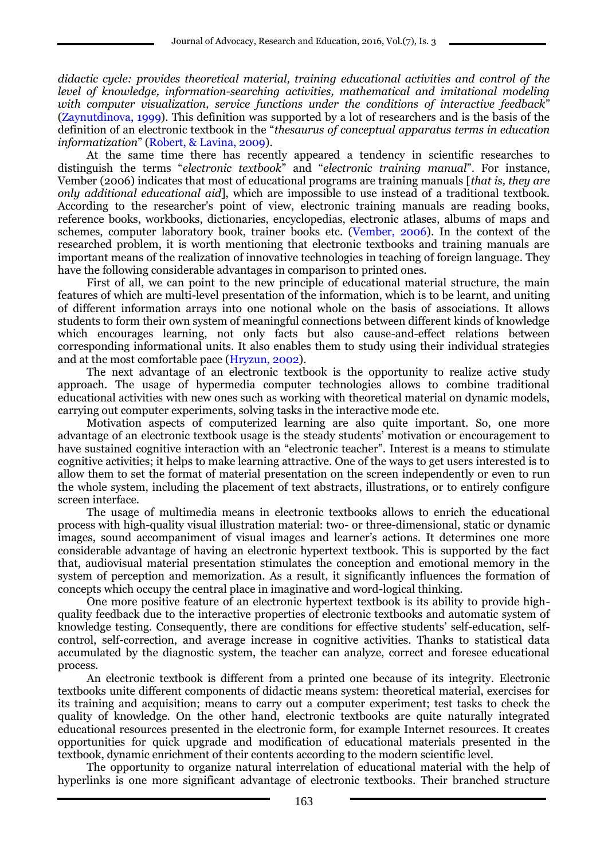*didactic cycle: provides theoretical material, training educational activities and control of the level of knowledge, information-searching activities, mathematical and imitational modeling with computer visualization, service functions under the conditions of interactive feedback*" (Zaynutdinova, 1999). This definition was supported by a lot of researchers and is the basis of the definition of an electronic textbook in the "*thesaurus of conceptual apparatus terms in education informatization*" (Robert, & Lavina, 2009).

At the same time there has recently appeared a tendency in scientific researches to distinguish the terms "*electronic textbook*" and "*electronic training manual*". For instance, Vember (2006) indicates that most of educational programs are training manuals [*that is, they are only additional educational aid*], which are impossible to use instead of a traditional textbook. According to the researcher's point of view, electronic training manuals are reading books, reference books, workbooks, dictionaries, encyclopedias, electronic atlases, albums of maps and schemes, computer laboratory book, trainer books etc. (Vember, 2006). In the context of the researched problem, it is worth mentioning that electronic textbooks and training manuals are important means of the realization of innovative technologies in teaching of foreign language. They have the following considerable advantages in comparison to printed ones.

First of all, we can point to the new principle of educational material structure, the main features of which are multi-level presentation of the information, which is to be learnt, and uniting of different information arrays into one notional whole on the basis of associations. It allows students to form their own system of meaningful connections between different kinds of knowledge which encourages learning, not only facts but also cause-and-effect relations between corresponding informational units. It also enables them to study using their individual strategies and at the most comfortable pace (Hryzun, 2002).

The next advantage of an electronic textbook is the opportunity to realize active study approach. The usage of hypermedia computer technologies allows to combine traditional educational activities with new ones such as working with theoretical material on dynamic models, carrying out computer experiments, solving tasks in the interactive mode etc.

Motivation aspects of computerized learning are also quite important. So, one more advantage of an electronic textbook usage is the steady students' motivation or encouragement to have sustained cognitive interaction with an "electronic teacher". Interest is a means to stimulate cognitive activities; it helps to make learning attractive. One of the ways to get users interested is to allow them to set the format of material presentation on the screen independently or even to run the whole system, including the placement of text abstracts, illustrations, or to entirely configure screen interface.

The usage of multimedia means in electronic textbooks allows to enrich the educational process with high-quality visual illustration material: two- or three-dimensional, static or dynamic images, sound accompaniment of visual images and learner's actions. It determines one more considerable advantage of having an electronic hypertext textbook. This is supported by the fact that, audiovisual material presentation stimulates the conception and emotional memory in the system of perception and memorization. As a result, it significantly influences the formation of concepts which occupy the central place in imaginative and word-logical thinking.

One more positive feature of an electronic hypertext textbook is its ability to provide highquality feedback due to the interactive properties of electronic textbooks and automatic system of knowledge testing. Consequently, there are conditions for effective students' self-education, selfcontrol, self-correction, and average increase in cognitive activities. Thanks to statistical data accumulated by the diagnostic system, the teacher can analyze, correct and foresee educational process.

An electronic textbook is different from a printed one because of its integrity. Electronic textbooks unite different components of didactic means system: theoretical material, exercises for its training and acquisition; means to carry out a computer experiment; test tasks to check the quality of knowledge. On the other hand, electronic textbooks are quite naturally integrated educational resources presented in the electronic form, for example Internet resources. It creates opportunities for quick upgrade and modification of educational materials presented in the textbook, dynamic enrichment of their contents according to the modern scientific level.

The opportunity to organize natural interrelation of educational material with the help of hyperlinks is one more significant advantage of electronic textbooks. Their branched structure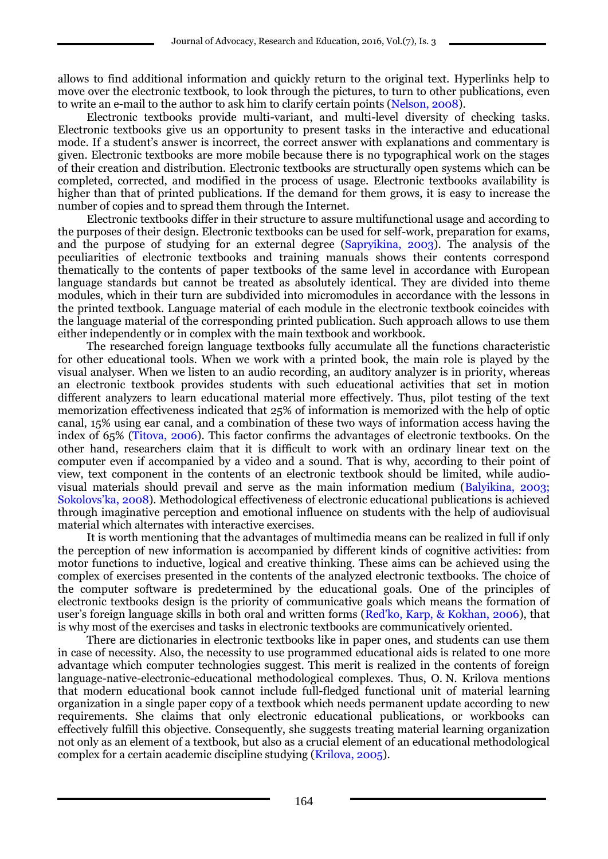allows to find additional information and quickly return to the original text. Hyperlinks help to move over the electronic textbook, to look through the pictures, to turn to other publications, even to write an e-mail to the author to ask him to clarify certain points (Nelson, 2008).

Electronic textbooks provide multi-variant, and multi-level diversity of checking tasks. Electronic textbooks give us an opportunity to present tasks in the interactive and educational mode. If a student's answer is incorrect, the correct answer with explanations and commentary is given. Electronic textbooks are more mobile because there is no typographical work on the stages of their creation and distribution. Electronic textbooks are structurally open systems which can be completed, corrected, and modified in the process of usage. Electronic textbooks availability is higher than that of printed publications. If the demand for them grows, it is easy to increase the number of copies and to spread them through the Internet.

Electronic textbooks differ in their structure to assure multifunctional usage and according to the purposes of their design. Electronic textbooks can be used for self-work, preparation for exams, and the purpose of studying for an external degree (Sapryikina, 2003). The analysis of the peculiarities of electronic textbooks and training manuals shows their contents correspond thematically to the contents of paper textbooks of the same level in accordance with European language standards but cannot be treated as absolutely identical. They are divided into theme modules, which in their turn are subdivided into micromodules in accordance with the lessons in the printed textbook. Language material of each module in the electronic textbook coincides with the language material of the corresponding printed publication. Such approach allows to use them either independently or in complex with the main textbook and workbook.

The researched foreign language textbooks fully accumulate all the functions characteristic for other educational tools. When we work with a printed book, the main role is played by the visual analyser. When we listen to an audio recording, an auditory analyzer is in priority, whereas an electronic textbook provides students with such educational activities that set in motion different analyzers to learn educational material more effectively. Thus, pilot testing of the text memorization effectiveness indicated that 25% of information is memorized with the help of optic canal, 15% using ear canal, and a combination of these two ways of information access having the index of 65% (Titova, 2006). This factor confirms the advantages of electronic textbooks. On the other hand, researchers claim that it is difficult to work with an ordinary linear text on the computer even if accompanied by a video and a sound. That is why, according to their point of view, text component in the contents of an electronic textbook should be limited, while audiovisual materials should prevail and serve as the main information medium (Balyikina, 2003; Sokolovs'ka, 2008). Methodological effectiveness of electronic educational publications is achieved through imaginative perception and emotional influence on students with the help of audiovisual material which alternates with interactive exercises.

It is worth mentioning that the advantages of multimedia means can be realized in full if only the perception of new information is accompanied by different kinds of cognitive activities: from motor functions to inductive, logical and creative thinking. These aims can be achieved using the complex of exercises presented in the contents of the analyzed electronic textbooks. The choice of the computer software is predetermined by the educational goals. One of the principles of electronic textbooks design is the priority of communicative goals which means the formation of user's foreign language skills in both oral and written forms (Red'ko, Karp, & Kokhan, 2006), that is why most of the exercises and tasks in electronic textbooks are communicatively oriented.

There are dictionaries in electronic textbooks like in paper ones, and students can use them in case of necessity. Also, the necessity to use programmed educational aids is related to one more advantage which computer technologies suggest. This merit is realized in the contents of foreign language-native-electronic-educational methodological complexes. Thus, O. N. Krilova mentions that modern educational book cannot include full-fledged functional unit of material learning organization in a single paper copy of a textbook which needs permanent update according to new requirements. She claims that only electronic educational publications, or workbooks can effectively fulfill this objective. Consequently, she suggests treating material learning organization not only as an element of a textbook, but also as a crucial element of an educational methodological complex for a certain academic discipline studying (Krilova, 2005).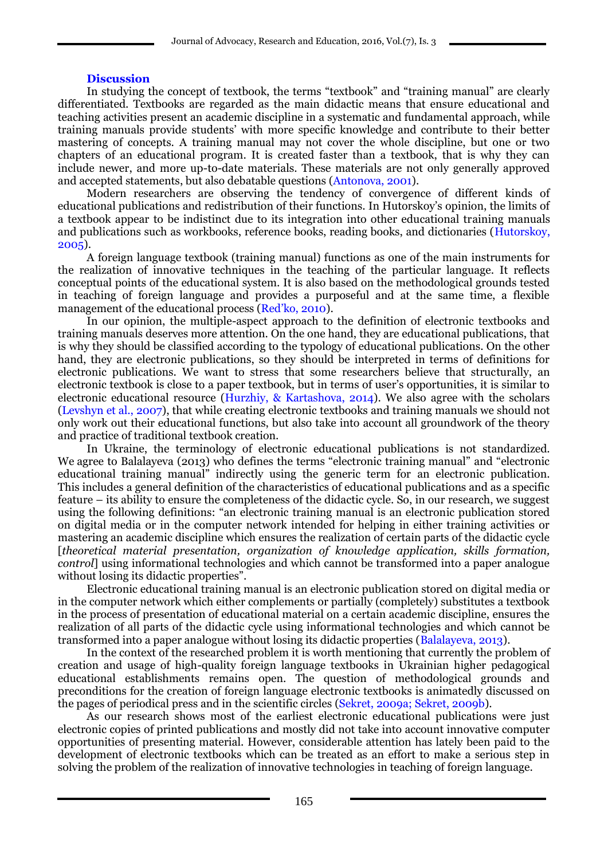## **Discussion**

In studying the concept of textbook, the terms "textbook" and "training manual" are clearly differentiated. Textbooks are regarded as the main didactic means that ensure educational and teaching activities present an academic discipline in a systematic and fundamental approach, while training manuals provide students' with more specific knowledge and contribute to their better mastering of concepts. A training manual may not cover the whole discipline, but one or two chapters of an educational program. It is created faster than a textbook, that is why they can include newer, and more up-to-date materials. These materials are not only generally approved and accepted statements, but also debatable questions (Antonova, 2001).

Modern researchers are observing the tendency of convergence of different kinds of educational publications and redistribution of their functions. In Hutorskoy's opinion, the limits of a textbook appear to be indistinct due to its integration into other educational training manuals and publications such as workbooks, reference books, reading books, and dictionaries (Hutorskoy, 2005).

A foreign language textbook (training manual) functions as one of the main instruments for the realization of innovative techniques in the teaching of the particular language. It reflects conceptual points of the educational system. It is also based on the methodological grounds tested in teaching of foreign language and provides a purposeful and at the same time, a flexible management of the educational process (Red'ko, 2010).

In our opinion, the multiple-aspect approach to the definition of electronic textbooks and training manuals deserves more attention. On the one hand, they are educational publications, that is why they should be classified according to the typology of educational publications. On the other hand, they are electronic publications, so they should be interpreted in terms of definitions for electronic publications. We want to stress that some researchers believe that structurally, an electronic textbook is close to a paper textbook, but in terms of user's opportunities, it is similar to electronic educational resource (Hurzhiy, & Kartashova, 2014). We also agree with the scholars (Levshyn et al., 2007), that while creating electronic textbooks and training manuals we should not only work out their educational functions, but also take into account all groundwork of the theory and practice of traditional textbook creation.

In Ukraine, the terminology of electronic educational publications is not standardized. We agree to Balalayeva (2013) who defines the terms "electronic training manual" and "electronic educational training manual" indirectly using the generic term for an electronic publication. This includes a general definition of the characteristics of educational publications and as a specific feature – its ability to ensure the completeness of the didactic cycle. So, in our research, we suggest using the following definitions: "an electronic training manual is an electronic publication stored on digital media or in the computer network intended for helping in either training activities or mastering an academic discipline which ensures the realization of certain parts of the didactic cycle [*theoretical material presentation, organization of knowledge application, skills formation, control*] using informational technologies and which cannot be transformed into a paper analogue without losing its didactic properties".

Electronic educational training manual is an electronic publication stored on digital media or in the computer network which either complements or partially (completely) substitutes a textbook in the process of presentation of educational material on a certain academic discipline, ensures the realization of all parts of the didactic cycle using informational technologies and which cannot be transformed into a paper analogue without losing its didactic properties (Balalayeva, 2013).

In the context of the researched problem it is worth mentioning that currently the problem of creation and usage of high-quality foreign language textbooks in Ukrainian higher pedagogical educational establishments remains open. The question of methodological grounds and preconditions for the creation of foreign language electronic textbooks is animatedly discussed on the pages of periodical press and in the scientific circles (Sekret, 2009a; Sekret, 2009b).

As our research shows most of the earliest electronic educational publications were just electronic copies of printed publications and mostly did not take into account innovative computer opportunities of presenting material. However, considerable attention has lately been paid to the development of electronic textbooks which can be treated as an effort to make a serious step in solving the problem of the realization of innovative technologies in teaching of foreign language.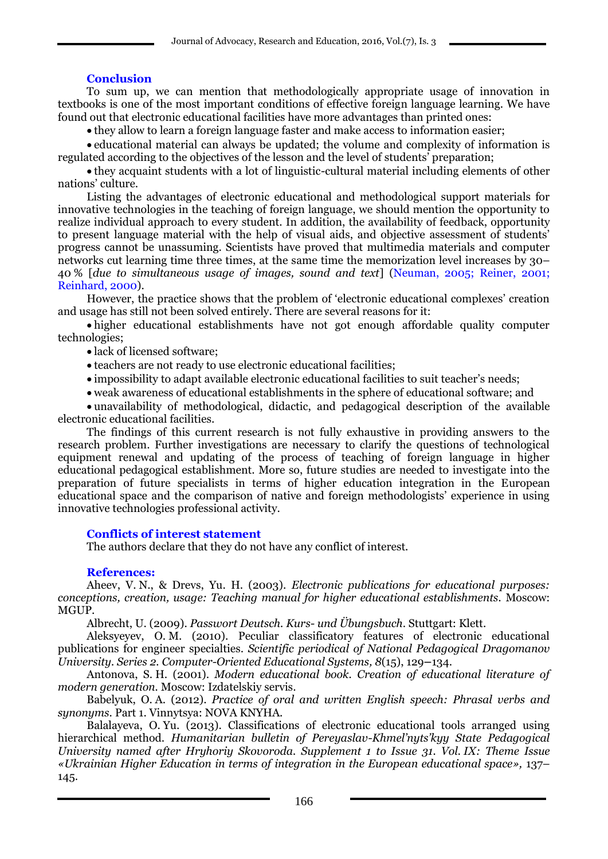# **Conclusion**

To sum up, we can mention that methodologically appropriate usage of innovation in textbooks is one of the most important conditions of effective foreign language learning. We have found out that electronic educational facilities have more advantages than printed ones:

they allow to learn a foreign language faster and make access to information easier;

 educational material can always be updated; the volume and complexity of information is regulated according to the objectives of the lesson and the level of students' preparation;

 they acquaint students with a lot of linguistic-cultural material including elements of other nations' culture.

Listing the advantages of electronic educational and methodological support materials for innovative technologies in the teaching of foreign language, we should mention the opportunity to realize individual approach to every student. In addition, the availability of feedback, opportunity to present language material with the help of visual aids, and objective assessment of students' progress cannot be unassuming. Scientists have proved that multimedia materials and computer networks cut learning time three times, at the same time the memorization level increases by 30– 40 % [*due to simultaneous usage of images, sound and text*] (Neuman, 2005; Reiner, 2001; Reinhard, 2000).

However, the practice shows that the problem of 'electronic educational complexes' creation and usage has still not been solved entirely. There are several reasons for it:

 higher educational establishments have not got enough affordable quality computer technologies;

lack of licensed software;

- teachers are not ready to use electronic educational facilities;
- impossibility to adapt available electronic educational facilities to suit teacher's needs;

weak awareness of educational establishments in the sphere of educational software; and

 unavailability of methodological, didactic, and pedagogical description of the available electronic educational facilities.

The findings of this current research is not fully exhaustive in providing answers to the research problem. Further investigations are necessary to clarify the questions of technological equipment renewal and updating of the process of teaching of foreign language in higher educational pedagogical establishment. More so, future studies are needed to investigate into the preparation of future specialists in terms of higher education integration in the European educational space and the comparison of native and foreign methodologists' experience in using innovative technologies professional activity.

## **Conflicts of interest statement**

The authors declare that they do not have any conflict of interest.

## **References:**

Aheev, V. N., & Drevs, Yu. H. (2003). *Electronic publications for educational purposes: conceptions, creation, usage: Teaching manual for higher educational establishments.* Moscow: MGUP.

Albrecht, U. (2009). *Passwort Deutsch. Kurs- und Übungsbuch*. Stuttgart: Klett.

Aleksyeyev, O. M. (2010). Peculiar classificatory features of electronic educational publications for engineer specialties. *Scientific periodical of National Pedagogical Dragomanov University. Series 2. Computer-Oriented Educational Systems, 8*(15), 129**–**134.

Antonova, S. H. (2001). *Modern educational book. Creation of educational literature of modern generation.* Moscow: Izdatelskiy servis.

Babelyuk, O. A. (2012). *Practice of oral and written English speech: Phrasal verbs and synonyms*. Part 1. Vinnytsya: NOVA KNYHA.

Balalayeva, O. Yu. (2013). Classifications of electronic educational tools arranged using hierarchical method. *Humanitarian bulletin of Pereyaslav-Khmel'nyts'kyy State Pedagogical University named after Hryhoriy Skovoroda. Supplement 1 to Issue 31. Vol. IX: Theme Issue «Ukrainian Higher Education in terms of integration in the European educational space»,* 137– 145.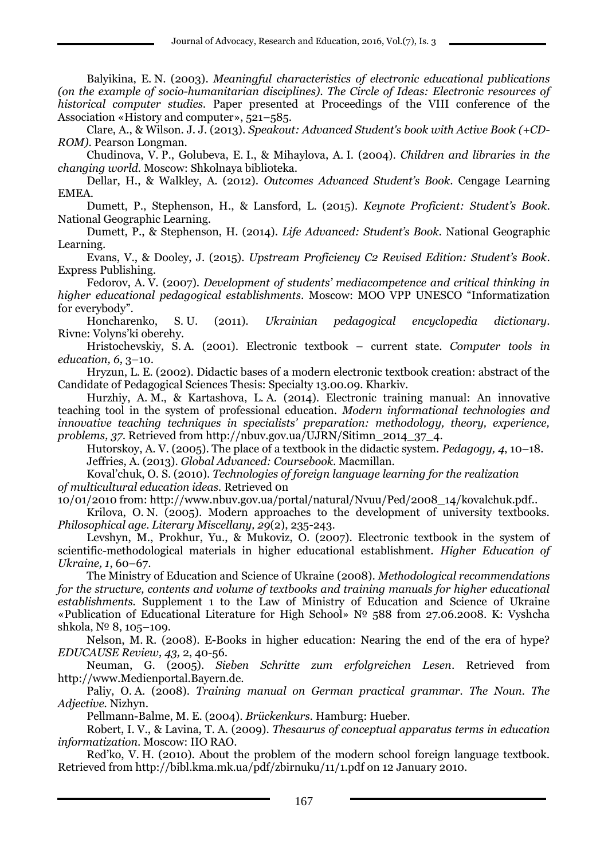Balyikina, E. N. (2003). *Meaningful characteristics of electronic educational publications (on the example of socio-humanitarian disciplines). The Circle of Ideas: Electronic resources of historical computer studies.* Paper presented at Proceedings of the VIII conference of the Association «History and computer», 521–585.

Clare, A., & Wilson. J. J. (2013). *Speakout: Advanced Student's book with Active Book (+CD-ROM)*. Pearson Longman.

Chudinova, V. P., Golubeva, E. I., & Mihaylova, A. I. (2004). *Children and libraries in the changing world.* Moscow: Shkolnaya biblioteka.

Dellar, H., & Walkley, A. (2012). *Outcomes Advanced Student's Book*. Cengage Learning EMEA.

Dumett, P., Stephenson, H., & Lansford, L. (2015). *Keynote Proficient: Student's Book*. National Geographic Learning.

Dumett, P., & Stephenson, H. (2014). *Life Advanced: Student's Book.* National Geographic Learning.

Evans, V., & Dooley, J. (2015). *Upstream Proficiency C2 Revised Edition: Student's Book*. Express Publishing.

Fedorov, A. V. (2007). *Development of students' mediacompetence and critical thinking in higher educational pedagogical establishments*. Moscow: MOO VPP UNESCO "Informatization for everybody".

Honcharenko, S. U. (2011). *Ukrainian pedagogical encyclopedia dictionary*. Rivne: Volyns'ki oberehy.

Hristochevskiy, S. A. (2001). Electronic textbook – current state. *Computer tools in education, 6*, 3–10.

Hryzun, L. E. (2002). Didactic bases of a modern electronic textbook creation: abstract of the Candidate of Pedagogical Sciences Thesis: Specialty 13.00.09. Kharkiv.

Hurzhiy, A. M., & Kartashova, L. A. (2014). Electronic training manual: An innovative teaching tool in the system of professional education. *Modern informational technologies and innovative teaching techniques in specialists' preparation: methodology, theory, experience, problems, 37*. Retrieved from http://nbuv.gov.ua/UJRN/Sitimn\_2014\_37\_4.

Hutorskoy, A. V. (2005). The place of a textbook in the didactic system. *Pedagogy, 4*, 10–18. Jeffries, A. (2013). *Global Advanced: Coursebook*. Macmillan.

Koval'chuk, O. S. (2010). *Technologies of foreign language learning for the realization of multicultural education ideas.* Retrieved 0n

10/01/2010 from: http://www.nbuv.gov.ua/portal/natural/Nvuu/Ped/2008\_14/kovalchuk.pdf..

Krilova, O. N. (2005). Modern approaches to the development of university textbooks. *Philosophical age. Literary Miscellany, 29*(2), 235-243.

Levshyn, M., Prokhur, Yu., & Mukoviz, O. (2007). Electronic textbook in the system of scientific-methodological materials in higher educational establishment. *Higher Education of Ukraine, 1*, 60–67.

The Ministry of Education and Science of Ukraine (2008). *Methodological recommendations for the structure, contents and volume of textbooks and training manuals for higher educational establishments.* Supplement 1 to the Law of Ministry of Education and Science of Ukraine «Publication of Educational Literature for High School» № 588 from 27.06.2008. K: Vyshcha shkola, № 8, 105–109.

Nelson, M. R. (2008). E-Books in higher education: Nearing the end of the era of hype? *EDUCAUSE Review, 43,* 2, 40-56.

Neuman, G. (2005). *Sieben Schritte zum erfolgreichen Lesen*. Retrieved from http://www.Medienportal.Bayern.de.

Paliy, O. A. (2008). *Training manual on German practical grammar. The Noun. The Adjective.* Nizhyn.

Pellmann-Balme, M. E. (2004). *Brückenkurs.* Hamburg: Hueber.

Robert, I. V., & Lavina, T. A. (2009). *Thesaurus of conceptual apparatus terms in education informatization*. Moscow: IIO RAO.

Red'ko, V. H. (2010). About the problem of the modern school foreign language textbook. Retrieved from <http://bibl.kma.mk.ua/pdf/zbirnuku/11/1.pdf> on 12 January 2010.